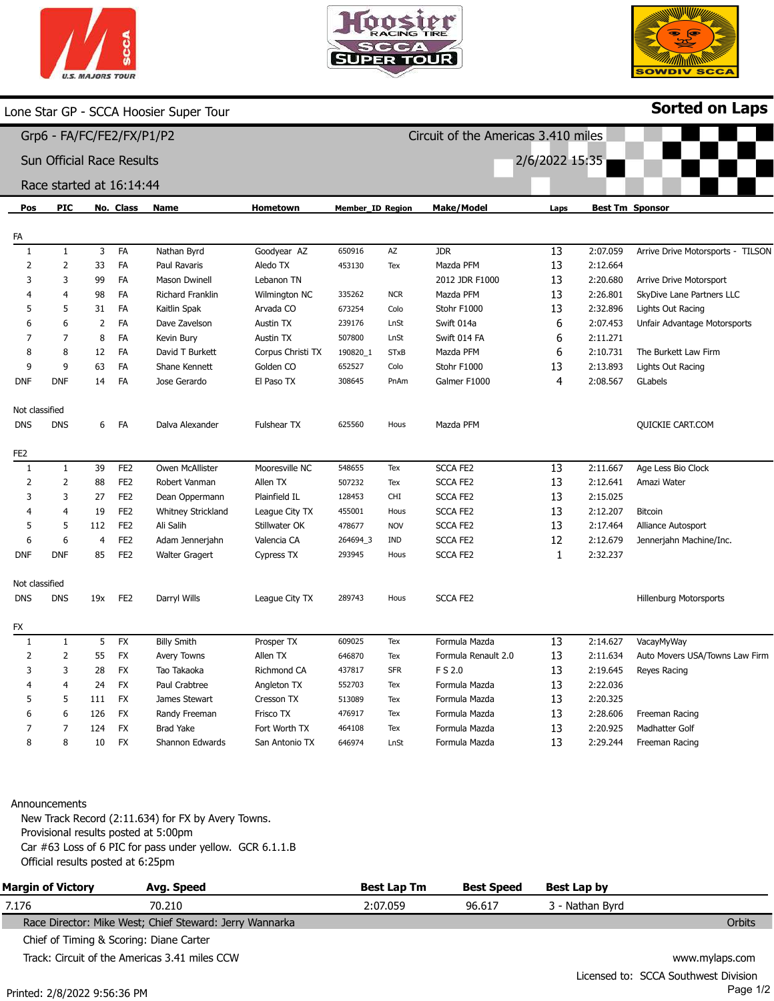





|                              |                                  |                |                 | one Star GP - SCCA Hoosier Super Tour |                   |                  |             |                                     |                |          | <b>Sorted on Laps</b>             |
|------------------------------|----------------------------------|----------------|-----------------|---------------------------------------|-------------------|------------------|-------------|-------------------------------------|----------------|----------|-----------------------------------|
|                              | Grp6 - FA/FC/FE2/FX/P1/P2        |                |                 |                                       |                   |                  |             | Circuit of the Americas 3.410 miles |                |          |                                   |
|                              | <b>Sun Official Race Results</b> |                |                 |                                       |                   |                  |             |                                     | 2/6/2022 15:35 |          |                                   |
|                              | Race started at 16:14:44         |                |                 |                                       |                   |                  |             |                                     |                |          |                                   |
| Pos                          | PIC                              |                | No. Class       | Name                                  | <b>Hometown</b>   | Member_ID Region |             | <b>Make/Model</b>                   | Laps           |          | <b>Best Tm Sponsor</b>            |
| FA                           |                                  |                |                 |                                       |                   |                  |             |                                     |                |          |                                   |
| 1                            | $\mathbf{1}$                     | 3              | FA              | Nathan Byrd                           | Goodyear AZ       | 650916           | AZ          | <b>JDR</b>                          | 13             | 2:07.059 | Arrive Drive Motorsports - TILSON |
| 2                            | $\overline{2}$                   | 33             | FA              | Paul Ravaris                          | Aledo TX          | 453130           | Tex         | Mazda PFM                           | 13             | 2:12.664 |                                   |
| 3                            | $\overline{3}$                   | 99             | FA              | <b>Mason Dwinell</b>                  | Lebanon TN        |                  |             | 2012 JDR F1000                      | 13             | 2:20.680 | Arrive Drive Motorsport           |
|                              | $\overline{4}$                   | 98             | FA              | Richard Franklin                      | Wilmington NC     | 335262           | <b>NCR</b>  | Mazda PFM                           | 13             | 2:26.801 | SkyDive Lane Partners LLC         |
| 5                            | 5                                | 31             | FA              | Kaitlin Spak                          | Arvada CO         | 673254           | Colo        | Stohr F1000                         | 13             | 2:32.896 | Lights Out Racing                 |
| 6                            | 6                                | $\overline{2}$ | FA              | Dave Zavelson                         | <b>Austin TX</b>  | 239176           | LnSt        | Swift 014a                          | 6              | 2:07.453 | Unfair Advantage Motorsports      |
|                              | 7                                | 8              | FA              | Kevin Bury                            | <b>Austin TX</b>  | 507800           | LnSt        | Swift 014 FA                        | 6              | 2:11.271 |                                   |
| 8                            | 8                                | 12             | FA              | David T Burkett                       | Corpus Christi TX | 190820_1         | <b>STxB</b> | Mazda PFM                           | 6              | 2:10.731 | The Burkett Law Firm              |
| 9                            | 9                                | 63             | FA              | Shane Kennett                         | Golden CO         | 652527           | Colo        | Stohr F1000                         | 13             | 2:13.893 | Lights Out Racing                 |
| <b>DNF</b>                   | <b>DNF</b>                       | 14             | FA              | Jose Gerardo                          | El Paso TX        | 308645           | PnAm        | Galmer F1000                        | 4              | 2:08.567 | GLabels                           |
| Not classified               |                                  |                |                 |                                       |                   |                  |             |                                     |                |          |                                   |
| <b>DNS</b>                   | DNS                              | 6              | <b>FA</b>       | Dalva Alexander                       | Fulshear TX       | 625560           | Hous        | Mazda PFM                           |                |          | QUICKIE CART.COM                  |
|                              |                                  |                |                 |                                       |                   |                  |             |                                     |                |          |                                   |
| FE <sub>2</sub>              |                                  |                |                 |                                       |                   |                  |             |                                     |                |          |                                   |
| 1                            | $\mathbf{1}$                     | 39             | FE <sub>2</sub> | Owen McAllister                       | Mooresville NC    | 548655           | Tex         | <b>SCCA FE2</b>                     | 13             | 2:11.667 | Age Less Bio Clock                |
| 2                            | $\overline{2}$                   | 88             | FE <sub>2</sub> | Robert Vanman                         | Allen TX          | 507232           | Tex         | <b>SCCA FE2</b>                     | 13             | 2:12.641 | Amazi Water                       |
| 3                            | 3                                | 27             | FE <sub>2</sub> | Dean Oppermann                        | Plainfield IL     | 128453           | CHI         | <b>SCCA FE2</b>                     | 13             | 2:15.025 |                                   |
| $\overline{a}$               | $\overline{4}$                   | 19             | FE <sub>2</sub> | Whitney Strickland                    | League City TX    | 455001           | Hous        | <b>SCCA FE2</b>                     | 13             | 2:12.207 | Bitcoin                           |
| 5                            | 5                                | 112            | FE <sub>2</sub> | Ali Salih                             | Stillwater OK     | 478677           | <b>NOV</b>  | <b>SCCA FE2</b>                     | 13             | 2:17.464 | Alliance Autosport                |
| 6                            | 6                                | $\overline{4}$ | FE <sub>2</sub> | Adam Jennerjahn                       | Valencia CA       | 264694_3         | IND         | <b>SCCA FE2</b>                     | 12             | 2:12.679 | Jennerjahn Machine/Inc.           |
| <b>DNF</b>                   | <b>DNF</b>                       | 85             | FE <sub>2</sub> | <b>Walter Gragert</b>                 | Cypress TX        | 293945           | Hous        | <b>SCCA FE2</b>                     | $\mathbf{1}$   | 2:32.237 |                                   |
|                              |                                  |                |                 |                                       |                   |                  |             |                                     |                |          |                                   |
| Not classified<br><b>DNS</b> | dns                              | 19x            | FE <sub>2</sub> | Darryl Wills                          | League City TX    | 289743           | Hous        | <b>SCCA FE2</b>                     |                |          | <b>Hillenburg Motorsports</b>     |
|                              |                                  |                |                 |                                       |                   |                  |             |                                     |                |          |                                   |
| FX                           |                                  |                |                 |                                       |                   |                  |             |                                     |                |          |                                   |
| 1                            | $\mathbf{1}$                     | 5              | <b>FX</b>       | <b>Billy Smith</b>                    | Prosper TX        | 609025           | Tex         | Formula Mazda                       | 13             | 2:14.627 | VacayMyWay                        |
| 2                            | $\overline{2}$                   | 55             | <b>FX</b>       | Avery Towns                           | Allen TX          | 646870           | Tex         | Formula Renault 2.0                 | 13             | 2:11.634 | Auto Movers USA/Towns Law Firm    |
| 3                            | 3                                | 28             | <b>FX</b>       | Tao Takaoka                           | Richmond CA       | 437817           | <b>SFR</b>  | F S 2.0                             | 13             | 2:19.645 | Reyes Racing                      |
|                              | $\overline{4}$                   | 24             | <b>FX</b>       | Paul Crabtree                         | Angleton TX       | 552703           | Tex         | Formula Mazda                       | 13             | 2:22.036 |                                   |
| 5                            | 5                                | 111            | <b>FX</b>       | James Stewart                         | Cresson TX        | 513089           | Tex         | Formula Mazda                       | 13             | 2:20.325 |                                   |
|                              | 6                                | 126            | <b>FX</b>       | Randy Freeman                         | Frisco TX         | 476917           | Tex         | Formula Mazda                       | 13             | 2:28.606 | Freeman Racing                    |
|                              | $\overline{7}$                   | 124            | <b>FX</b>       | <b>Brad Yake</b>                      | Fort Worth TX     | 464108           | Tex         | Formula Mazda                       | 13             | 2:20.925 | Madhatter Golf                    |
| 8                            | 8                                | 10             | <b>FX</b>       | Shannon Edwards                       | San Antonio TX    | 646974           | LnSt        | Formula Mazda                       | 13             | 2:29.244 | Freeman Racing                    |

## Announcements

New Track Record (2:11.634) for FX by Avery Towns. Provisional results posted at 5:00pm Car #63 Loss of 6 PIC for pass under yellow. GCR 6.1.1.B Official results posted at 6:25pm

| <b>Margin of Victory</b>                | Avg. Speed                                              | <b>Best Lap Tm</b> | <b>Best Speed</b> | Best Lap by     |                                      |
|-----------------------------------------|---------------------------------------------------------|--------------------|-------------------|-----------------|--------------------------------------|
| 7.176                                   | 70.210                                                  | 2:07.059           | 96.617            | 3 - Nathan Byrd |                                      |
|                                         | Race Director: Mike West; Chief Steward: Jerry Wannarka |                    |                   |                 | Orbits                               |
| Chief of Timing & Scoring: Diane Carter |                                                         |                    |                   |                 |                                      |
|                                         | Track: Circuit of the Americas 3.41 miles CCW           |                    |                   |                 | www.mylaps.com                       |
|                                         |                                                         |                    |                   |                 | Licensed to: SCCA Southwest Division |